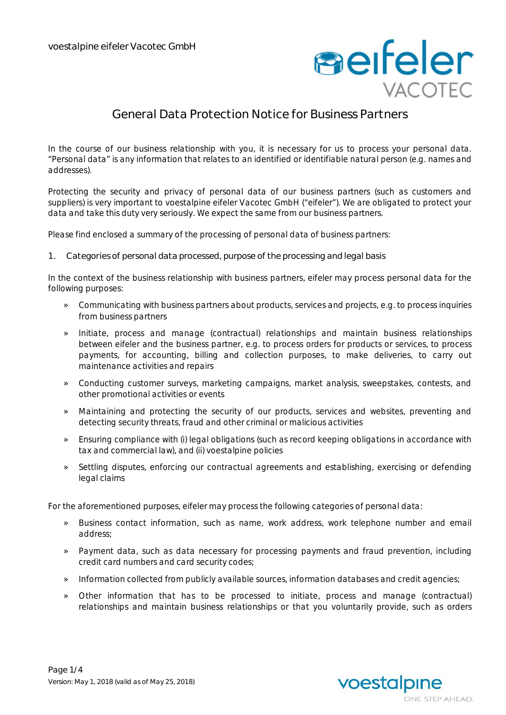

## **General Data Protection Notice for Business Partners**

In the course of our business relationship with you, it is necessary for us to process your personal data. "Personal data" is any information that relates to an identified or identifiable natural person (e.g. names and addresses).

Protecting the security and privacy of personal data of our business partners (such as customers and suppliers) is very important to voestalpine eifeler Vacotec GmbH ("eifeler"). We are obligated to protect your data and take this duty very seriously. We expect the same from our business partners.

Please find enclosed a summary of the processing of personal data of business partners:

**1. Categories of personal data processed, purpose of the processing and legal basis**

In the context of the business relationship with business partners, eifeler may process personal data for the following purposes:

- » Communicating with business partners about products, services and projects, e.g. to process inquiries from business partners
- » Initiate, process and manage (contractual) relationships and maintain business relationships between eifeler and the business partner, e.g. to process orders for products or services, to process payments, for accounting, billing and collection purposes, to make deliveries, to carry out maintenance activities and repairs
- » Conducting customer surveys, marketing campaigns, market analysis, sweepstakes, contests, and other promotional activities or events
- » Maintaining and protecting the security of our products, services and websites, preventing and detecting security threats, fraud and other criminal or malicious activities
- » Ensuring compliance with (i) legal obligations (such as record keeping obligations in accordance with tax and commercial law), and (ii) voestalpine policies
- » Settling disputes, enforcing our contractual agreements and establishing, exercising or defending legal claims

For the aforementioned purposes, eifeler may process the following categories of personal data:

- » Business contact information, such as name, work address, work telephone number and email address;
- » Payment data, such as data necessary for processing payments and fraud prevention, including credit card numbers and card security codes;
- » Information collected from publicly available sources, information databases and credit agencies;
- » Other information that has to be processed to initiate, process and manage (contractual) relationships and maintain business relationships or that you voluntarily provide, such as orders

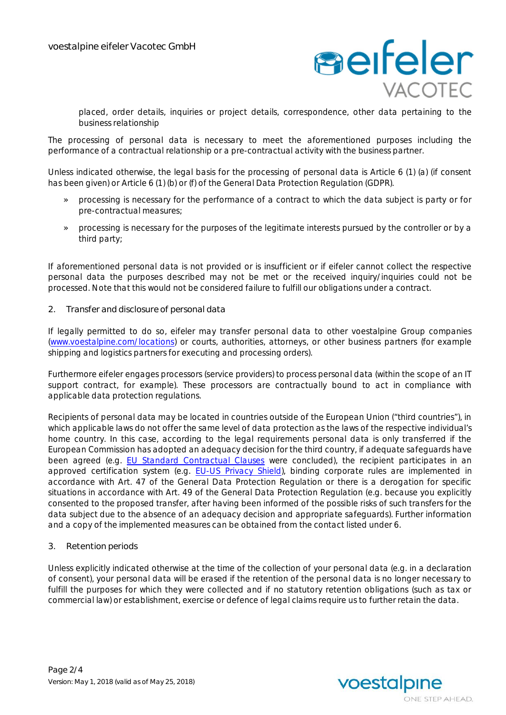

placed, order details, inquiries or project details, correspondence, other data pertaining to the business relationship

The processing of personal data is necessary to meet the aforementioned purposes including the performance of a contractual relationship or a pre-contractual activity with the business partner.

Unless indicated otherwise, the legal basis for the processing of personal data is Article 6 (1) (a) (if consent has been given) or Article 6 (1) (b) or (f) of the General Data Protection Regulation (GDPR).

- » processing is necessary for the performance of a contract to which the data subject is party or for pre-contractual measures;
- » processing is necessary for the purposes of the legitimate interests pursued by the controller or by a third party;

If aforementioned personal data is not provided or is insufficient or if eifeler cannot collect the respective personal data the purposes described may not be met or the received inquiry/inquiries could not be processed. Note that this would not be considered failure to fulfill our obligations under a contract.

**2. Transfer and disclosure of personal data**

If legally permitted to do so, eifeler may transfer personal data to other voestalpine Group companies (www.voestalpine.com/locations) or courts, authorities, attorneys, or other business partners (for example shipping and logistics partners for executing and processing orders).

Furthermore eifeler engages processors (service providers) to process personal data (within the scope of an IT support contract, for example). These processors are contractually bound to act in compliance with applicable data protection regulations.

Recipients of personal data may be located in countries outside of the European Union ("third countries"), in which applicable laws do not offer the same level of data protection as the laws of the respective individual's home country. In this case, according to the legal requirements personal data is only transferred if the European Commission has adopted an adequacy decision for the third country, if adequate safeguards have been agreed (e.g. EU Standard Contractual Clauses were concluded), the recipient participates in an approved certification system (e.g. EU-US Privacy Shield), binding corporate rules are implemented in accordance with Art. 47 of the General Data Protection Regulation or there is a derogation for specific situations in accordance with Art. 49 of the General Data Protection Regulation (e.g. because you explicitly consented to the proposed transfer, after having been informed of the possible risks of such transfers for the data subject due to the absence of an adequacy decision and appropriate safeguards). Further information and a copy of the implemented measures can be obtained from the contact listed under 6.

**3. Retention periods**

Unless explicitly indicated otherwise at the time of the collection of your personal data (e.g. in a declaration of consent), your personal data will be erased if the retention of the personal data is no longer necessary to fulfill the purposes for which they were collected and if no statutory retention obligations (such as tax or commercial law) or establishment, exercise or defence of legal claims require us to further retain the data.

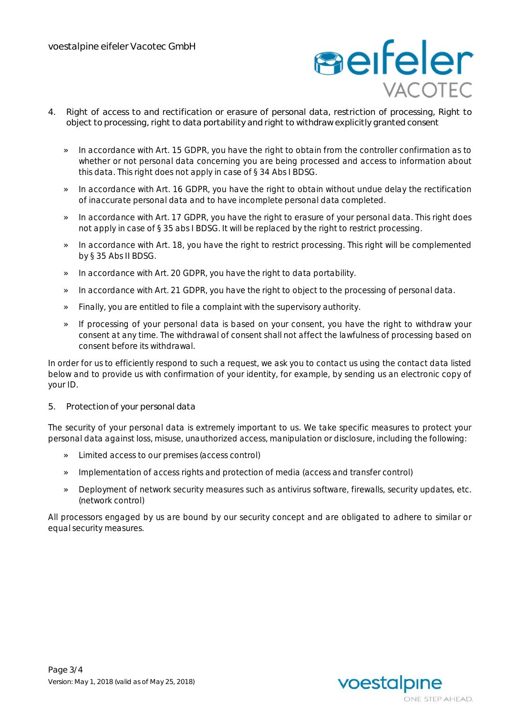

- **4. Right of access to and rectification or erasure of personal data, restriction of processing, Right to object to processing, right to data portability and right to withdraw explicitly granted consent**
	- » In accordance with Art. 15 GDPR, you have the right to obtain from the controller confirmation as to whether or not personal data concerning you are being processed and access to information about this data. This right does not apply in case of § 34 Abs I BDSG.
	- » In accordance with Art. 16 GDPR, you have the right to obtain without undue delay the rectification of inaccurate personal data and to have incomplete personal data completed.
	- » In accordance with Art. 17 GDPR, you have the right to erasure of your personal data. This right does not apply in case of § 35 abs I BDSG. It will be replaced by the right to restrict processing.
	- » In accordance with Art. 18, you have the right to restrict processing. This right will be complemented by § 35 Abs II BDSG.
	- » In accordance with Art. 20 GDPR, you have the right to data portability.
	- » In accordance with Art. 21 GDPR, you have the right to object to the processing of personal data.
	- » Finally, you are entitled to file a complaint with the supervisory authority.
	- » If processing of your personal data is based on your consent, you have the right to withdraw your consent at any time. The withdrawal of consent shall not affect the lawfulness of processing based on consent before its withdrawal.

In order for us to efficiently respond to such a request, we ask you to contact us using the contact data listed below and to provide us with confirmation of your identity, for example, by sending us an electronic copy of your ID.

**5. Protection of your personal data**

The security of your personal data is extremely important to us. We take specific measures to protect your personal data against loss, misuse, unauthorized access, manipulation or disclosure, including the following:

- » Limited access to our premises (access control)
- » Implementation of access rights and protection of media (access and transfer control)
- » Deployment of network security measures such as antivirus software, firewalls, security updates, etc. (network control)

All processors engaged by us are bound by our security concept and are obligated to adhere to similar or equal security measures.